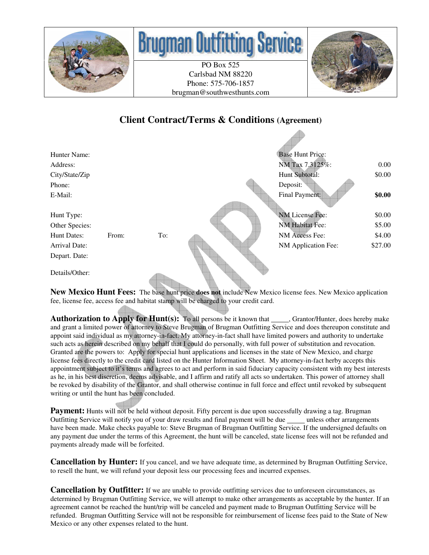

# **Brugman Our**

PO Box 525 Carlsbad NM 88220 Phone: 575-706-1857 brugman@southwesthunts.com



## **Client Contract/Terms & Conditions (Agreement)**

| Hunter Name:         |       |     | <b>Base Hunt Price:</b> |          |
|----------------------|-------|-----|-------------------------|----------|
| Address:             |       |     | NM Tax 7.3125%:         | $0.00\,$ |
| City/State/Zip       |       |     | Hunt Subtotal:          | \$0.00   |
| Phone:               |       |     | Deposit:                |          |
| E-Mail:              |       |     | Final Payment:          | \$0.00   |
|                      |       |     |                         |          |
| Hunt Type:           |       |     | NM License Fee:         | \$0.00   |
| Other Species:       |       |     | <b>NM Habitat Fee:</b>  | \$5.00   |
| Hunt Dates:          | From: | To: | NM Access Fee:          | \$4.00   |
| <b>Arrival Date:</b> |       |     | NM Application Fee:     | \$27.00  |
| Depart. Date:        |       |     |                         |          |
| Details/Other:       |       |     |                         |          |

**New Mexico Hunt Fees:** The base hunt price **does not** include New Mexico license fees. New Mexico application fee, license fee, access fee and habitat stamp will be charged to your credit card.

**Authorization to Apply for Hunt(s):** To all persons be it known that Grantor/Hunter, does hereby make and grant a limited power of attorney to Steve Brugman of Brugman Outfitting Service and does thereupon constitute and appoint said individual as my attorney-in-fact. My attorney-in-fact shall have limited powers and authority to undertake such acts as herein described on my behalf that I could do personally, with full power of substitution and revocation. Granted are the powers to: Apply for special hunt applications and licenses in the state of New Mexico, and charge license fees directly to the credit card listed on the Hunter Information Sheet.My attorney-in-fact herby accepts this appointment subject to it's terms and agrees to act and perform in said fiduciary capacity consistent with my best interests as he, in his best discretion, deems advisable, and I affirm and ratify all acts so undertaken. This power of attorney shall be revoked by disability of the Grantor, and shall otherwise continue in full force and effect until revoked by subsequent writing or until the hunt has been concluded.

**Payment:** Hunts will not be held without deposit. Fifty percent is due upon successfully drawing a tag. Brugman Outfitting Service will notify you of your draw results and final payment will be due unless other arrangements have been made. Make checks payable to: Steve Brugman of Brugman Outfitting Service. If the undersigned defaults on any payment due under the terms of this Agreement, the hunt will be canceled, state license fees will not be refunded and payments already made will be forfeited.

**Cancellation by Hunter:** If you cancel, and we have adequate time, as determined by Brugman Outfitting Service, to resell the hunt, we will refund your deposit less our processing fees and incurred expenses.

**Cancellation by Outfitter:** If we are unable to provide outfitting services due to unforeseen circumstances, as determined by Brugman Outfitting Service, we will attempt to make other arrangements as acceptable by the hunter. If an agreement cannot be reached the hunt/trip will be canceled and payment made to Brugman Outfitting Service will be refunded. Brugman Outfitting Service will not be responsible for reimbursement of license fees paid to the State of New Mexico or any other expenses related to the hunt.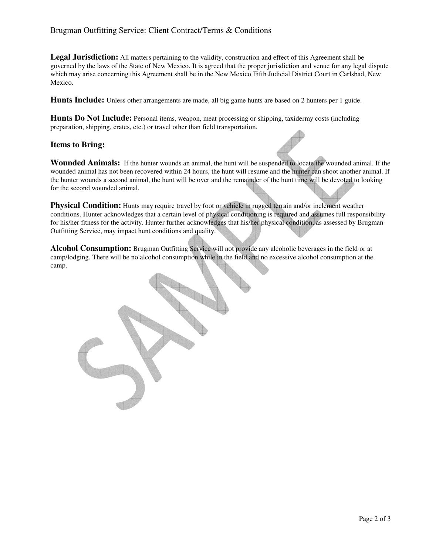### Brugman Outfitting Service: Client Contract/Terms & Conditions

**Legal Jurisdiction:** All matters pertaining to the validity, construction and effect of this Agreement shall be governed by the laws of the State of New Mexico. It is agreed that the proper jurisdiction and venue for any legal dispute which may arise concerning this Agreement shall be in the New Mexico Fifth Judicial District Court in Carlsbad, New Mexico.

**Hunts Include:** Unless other arrangements are made, all big game hunts are based on 2 hunters per 1 guide.

**Hunts Do Not Include:** Personal items, weapon, meat processing or shipping, taxidermy costs (including preparation, shipping, crates, etc.) or travel other than field transportation.

#### **Items to Bring:**

**Wounded Animals:** If the hunter wounds an animal, the hunt will be suspended to locate the wounded animal. If the wounded animal has not been recovered within 24 hours, the hunt will resume and the hunter can shoot another animal. If the hunter wounds a second animal, the hunt will be over and the remainder of the hunt time will be devoted to looking for the second wounded animal.

**Physical Condition:** Hunts may require travel by foot or vehicle in rugged terrain and/or inclement weather conditions. Hunter acknowledges that a certain level of physical conditioning is required and assumes full responsibility for his/her fitness for the activity. Hunter further acknowledges that his/her physical condition, as assessed by Brugman Outfitting Service, may impact hunt conditions and quality.

**Alcohol Consumption:** Brugman Outfitting Service will not provide any alcoholic beverages in the field or at camp/lodging. There will be no alcohol consumption while in the field and no excessive alcohol consumption at the camp.